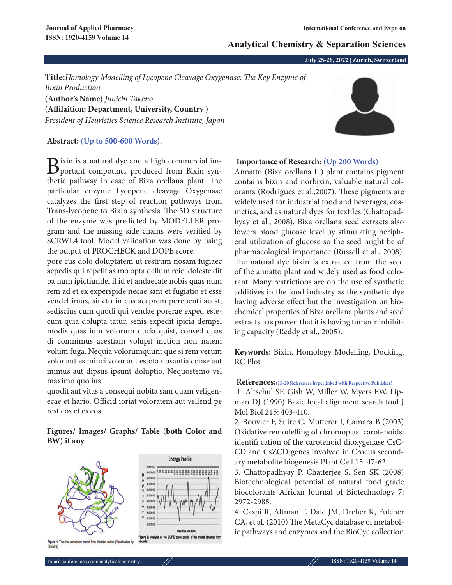# **Analytical Chemistry & Separation Sciences**

**July 25-26, 2022 | Zurich, Switzerland**

**Title:***Homology Modelling of Lycopene Cleavage Oxygenase: The Key Enzyme of Bixin Production* **(Author's Name)** *Junichi Takeno*

**(Affilaition: Department, University, Country )** *President of Heuristics Science Research Institute, Japan*

## **Abstract: (Up to 500-600 Words).**

Bixin is a natural dye and a high commercial im-<br>portant compound, produced from Bixin synthetic pathway in case of Bixa orellana plant. The particular enzyme Lycopene cleavage Oxygenase catalyzes the first step of reaction pathways from Trans-lycopene to Bixin synthesis. The 3D structure of the enzyme was predicted by MODELLER program and the missing side chains were verified by SCRWL4 tool. Model validation was done by using the output of PROCHECK and DOPE score.

pore cus dolo doluptatem ut restrum nosam fugiaec aepedis qui repelit as mo opta dellum reici doleste dit pa num ipictiundel il id et andaecate nobis quas num rem ad et ex experspide necae sant et fugiatio et esse vendel imus, sincto in cus aceprem porehenti acest, sediscius cum quodi qui vendae porerae exped estecum quia dolupta tatur, senis expedit ipicia dempel modis quas ium volorum ducia quist, consed quas di comnimus acestiam volupit inction non natem volum fuga. Nequia volorumquunt que si rem verum volor aut es minci volor aut estota nosantia conse aut inimus aut dipsus ipsunt doluptio. Nequostemo vel maximo quo ius.

quodit aut vitas a consequi nobita sam quam veligenecae et hario. Officid ioriat voloratem aut vellend pe rest eos et es eos

## **Figures/ Images/ Graphs/ Table (both Color and BW) if any**



## **Importance of Research: (Up 200 Words)**

Annatto (Bixa orellana L.) plant contains pigment contains bixin and norbixin, valuable natural colorants (Rodrigues et al.,2007). These pigments are widely used for industrial food and beverages, cosmetics, and as natural dyes for textiles (Chattopadhyay et al., 2008). Bixa orellana seed extracts also lowers blood glucose level by stimulating peripheral utilization of glucose so the seed might be of pharmacological importance (Russell et al., 2008). The natural dye bixin is extracted from the seed of the annatto plant and widely used as food colorant. Many restrictions are on the use of synthetic additives in the food industry as the synthetic dye having adverse effect but the investigation on biochemical properties of Bixa orellana plants and seed extracts has proven that it is having tumour inhibiting capacity (Reddy et al., 2005).

**Keywords:** Bixin, Homology Modelling, Docking, RC Plot

### **References:(15-20 References hyperlinked with Respective Publisher)**

1. Altschul SF, Gish W, Miller W, Myers EW, Lipman DJ (1990) Basic local alignment search tool J Mol Biol 215: 403-410.

2. Bouvier F, Suire C, Mutterer J, Camara B (2003) Oxidative remodelling of chromoplast carotenoids: identifi cation of the carotenoid dioxygenase CsC-CD and CsZCD genes involved in Crocus secondary metabolite biogenesis Plant Cell 15: 47-62.

3. Chattopadhyay P, Chatterjee S, Sen SK (2008) Biotechnological potential of natural food grade biocolorants African Journal of Biotechnology 7: 2972-2985.

4. Caspi R, Altman T, Dale JM, Dreher K, Fulcher CA, et al. (2010) The MetaCyc database of metabolic pathways and enzymes and the BioCyc collection